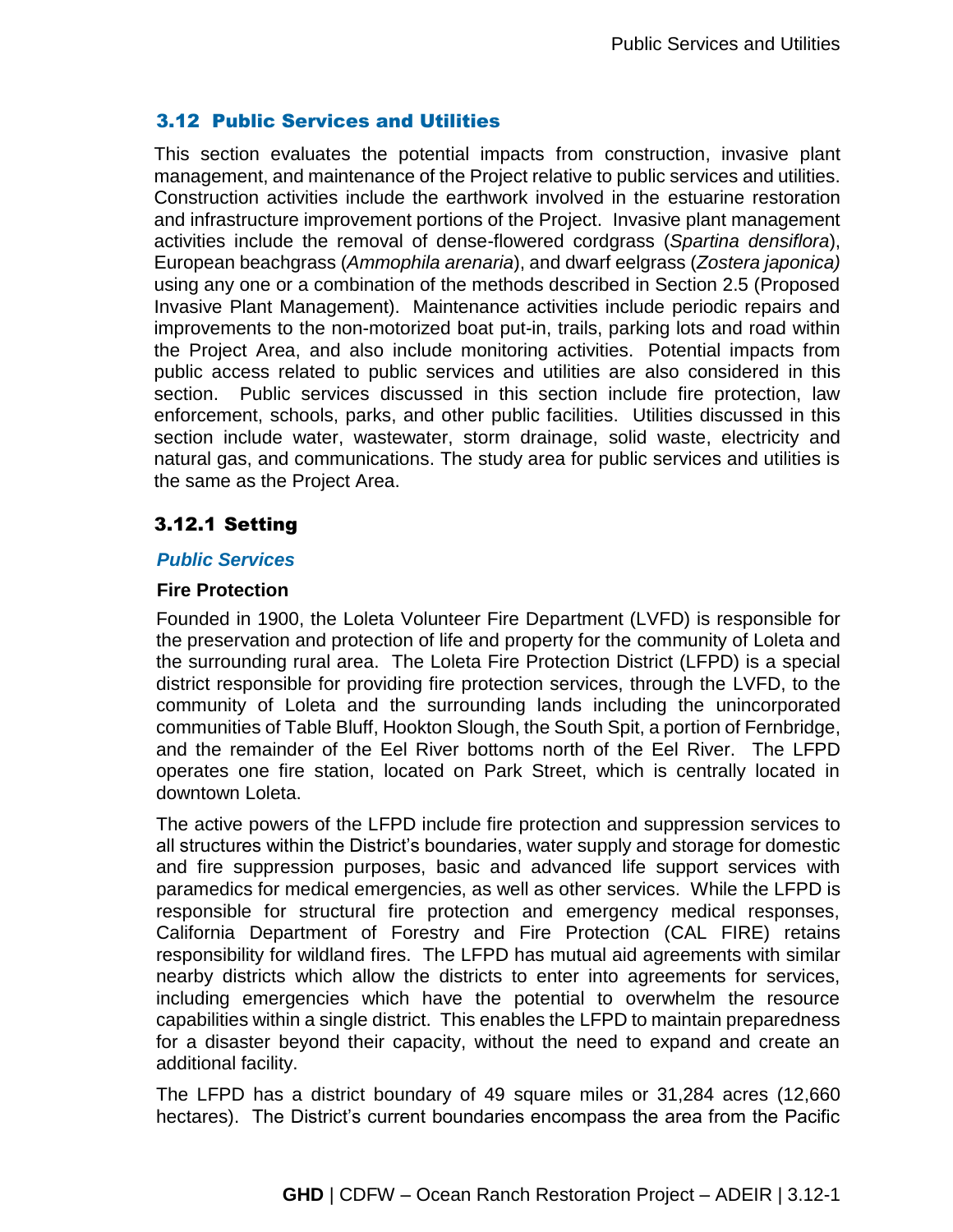## 3.12 Public Services and Utilities

This section evaluates the potential impacts from construction, invasive plant management, and maintenance of the Project relative to public services and utilities. Construction activities include the earthwork involved in the estuarine restoration and infrastructure improvement portions of the Project. Invasive plant management activities include the removal of dense-flowered cordgrass (*Spartina densiflora*), European beachgrass (*Ammophila arenaria*), and dwarf eelgrass (*Zostera japonica)* using any one or a combination of the methods described in Section 2.5 (Proposed Invasive Plant Management). Maintenance activities include periodic repairs and improvements to the non-motorized boat put-in, trails, parking lots and road within the Project Area, and also include monitoring activities. Potential impacts from public access related to public services and utilities are also considered in this section. Public services discussed in this section include fire protection, law enforcement, schools, parks, and other public facilities. Utilities discussed in this section include water, wastewater, storm drainage, solid waste, electricity and natural gas, and communications. The study area for public services and utilities is the same as the Project Area.

# 3.12.1 Setting

#### *Public Services*

#### **Fire Protection**

Founded in 1900, the Loleta Volunteer Fire Department (LVFD) is responsible for the preservation and protection of life and property for the community of Loleta and the surrounding rural area. The Loleta Fire Protection District (LFPD) is a special district responsible for providing fire protection services, through the LVFD, to the community of Loleta and the surrounding lands including the unincorporated communities of Table Bluff, Hookton Slough, the South Spit, a portion of Fernbridge, and the remainder of the Eel River bottoms north of the Eel River. The LFPD operates one fire station, located on Park Street, which is centrally located in downtown Loleta.

The active powers of the LFPD include fire protection and suppression services to all structures within the District's boundaries, water supply and storage for domestic and fire suppression purposes, basic and advanced life support services with paramedics for medical emergencies, as well as other services. While the LFPD is responsible for structural fire protection and emergency medical responses, California Department of Forestry and Fire Protection (CAL FIRE) retains responsibility for wildland fires. The LFPD has mutual aid agreements with similar nearby districts which allow the districts to enter into agreements for services, including emergencies which have the potential to overwhelm the resource capabilities within a single district. This enables the LFPD to maintain preparedness for a disaster beyond their capacity, without the need to expand and create an additional facility.

The LFPD has a district boundary of 49 square miles or 31,284 acres (12,660 hectares). The District's current boundaries encompass the area from the Pacific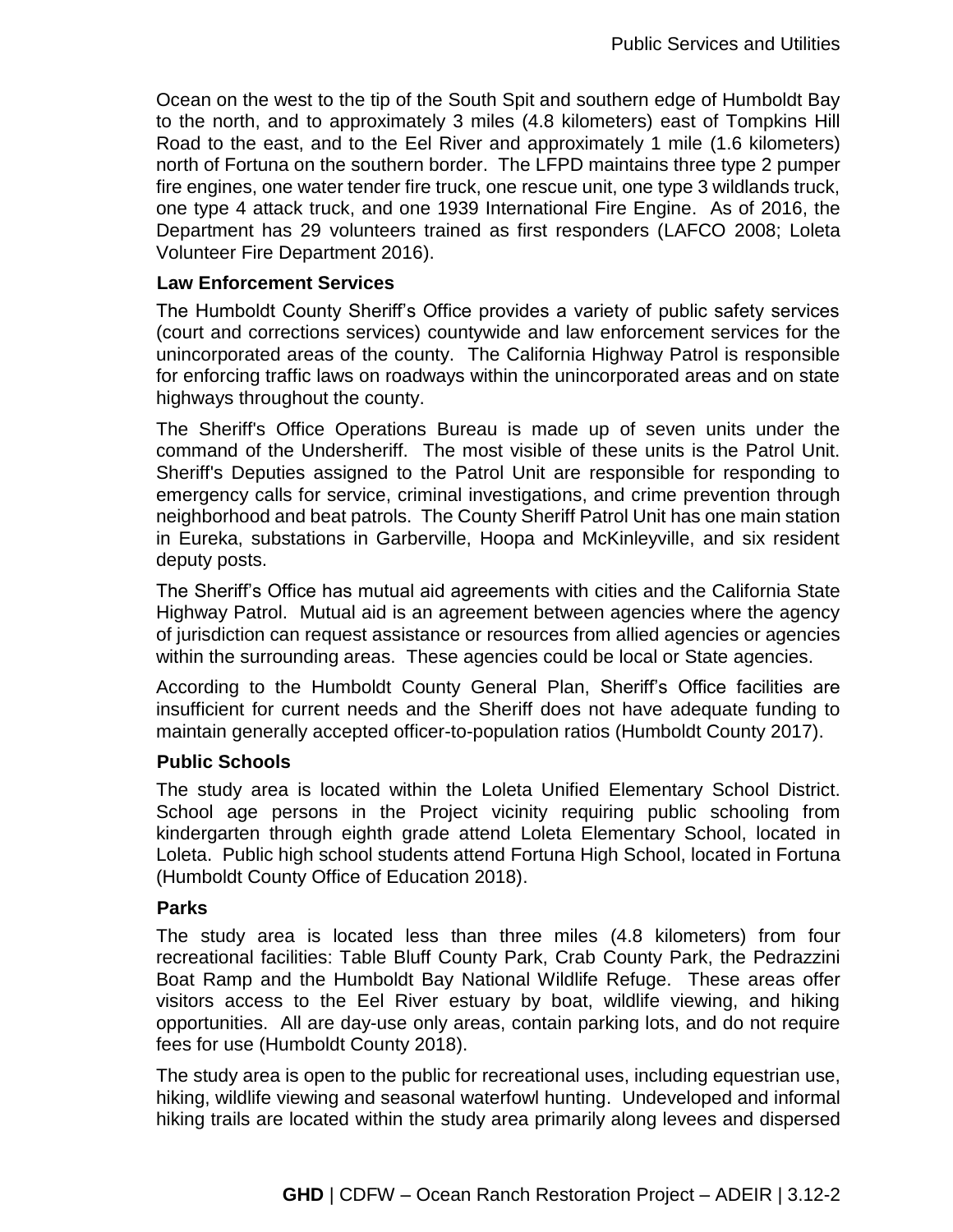Ocean on the west to the tip of the South Spit and southern edge of Humboldt Bay to the north, and to approximately 3 miles (4.8 kilometers) east of Tompkins Hill Road to the east, and to the Eel River and approximately 1 mile (1.6 kilometers) north of Fortuna on the southern border. The LFPD maintains three type 2 pumper fire engines, one water tender fire truck, one rescue unit, one type 3 wildlands truck, one type 4 attack truck, and one 1939 International Fire Engine. As of 2016, the Department has 29 volunteers trained as first responders (LAFCO 2008; Loleta Volunteer Fire Department 2016).

### **Law Enforcement Services**

The Humboldt County Sheriff's Office provides a variety of public safety services (court and corrections services) countywide and law enforcement services for the unincorporated areas of the county. The California Highway Patrol is responsible for enforcing traffic laws on roadways within the unincorporated areas and on state highways throughout the county.

The Sheriff's Office Operations Bureau is made up of seven units under the command of the Undersheriff. The most visible of these units is the Patrol Unit. Sheriff's Deputies assigned to the Patrol Unit are responsible for responding to emergency calls for service, criminal investigations, and crime prevention through neighborhood and beat patrols. The County Sheriff Patrol Unit has one main station in Eureka, substations in Garberville, Hoopa and McKinleyville, and six resident deputy posts.

The Sheriff's Office has mutual aid agreements with cities and the California State Highway Patrol. Mutual aid is an agreement between agencies where the agency of jurisdiction can request assistance or resources from allied agencies or agencies within the surrounding areas. These agencies could be local or State agencies.

According to the Humboldt County General Plan, Sheriff's Office facilities are insufficient for current needs and the Sheriff does not have adequate funding to maintain generally accepted officer-to-population ratios (Humboldt County 2017).

## **Public Schools**

The study area is located within the Loleta Unified Elementary School District. School age persons in the Project vicinity requiring public schooling from kindergarten through eighth grade attend Loleta Elementary School, located in Loleta. Public high school students attend Fortuna High School, located in Fortuna (Humboldt County Office of Education 2018).

#### **Parks**

The study area is located less than three miles (4.8 kilometers) from four recreational facilities: Table Bluff County Park, Crab County Park, the Pedrazzini Boat Ramp and the Humboldt Bay National Wildlife Refuge. These areas offer visitors access to the Eel River estuary by boat, wildlife viewing, and hiking opportunities. All are day-use only areas, contain parking lots, and do not require fees for use (Humboldt County 2018).

The study area is open to the public for recreational uses, including equestrian use, hiking, wildlife viewing and seasonal waterfowl hunting. Undeveloped and informal hiking trails are located within the study area primarily along levees and dispersed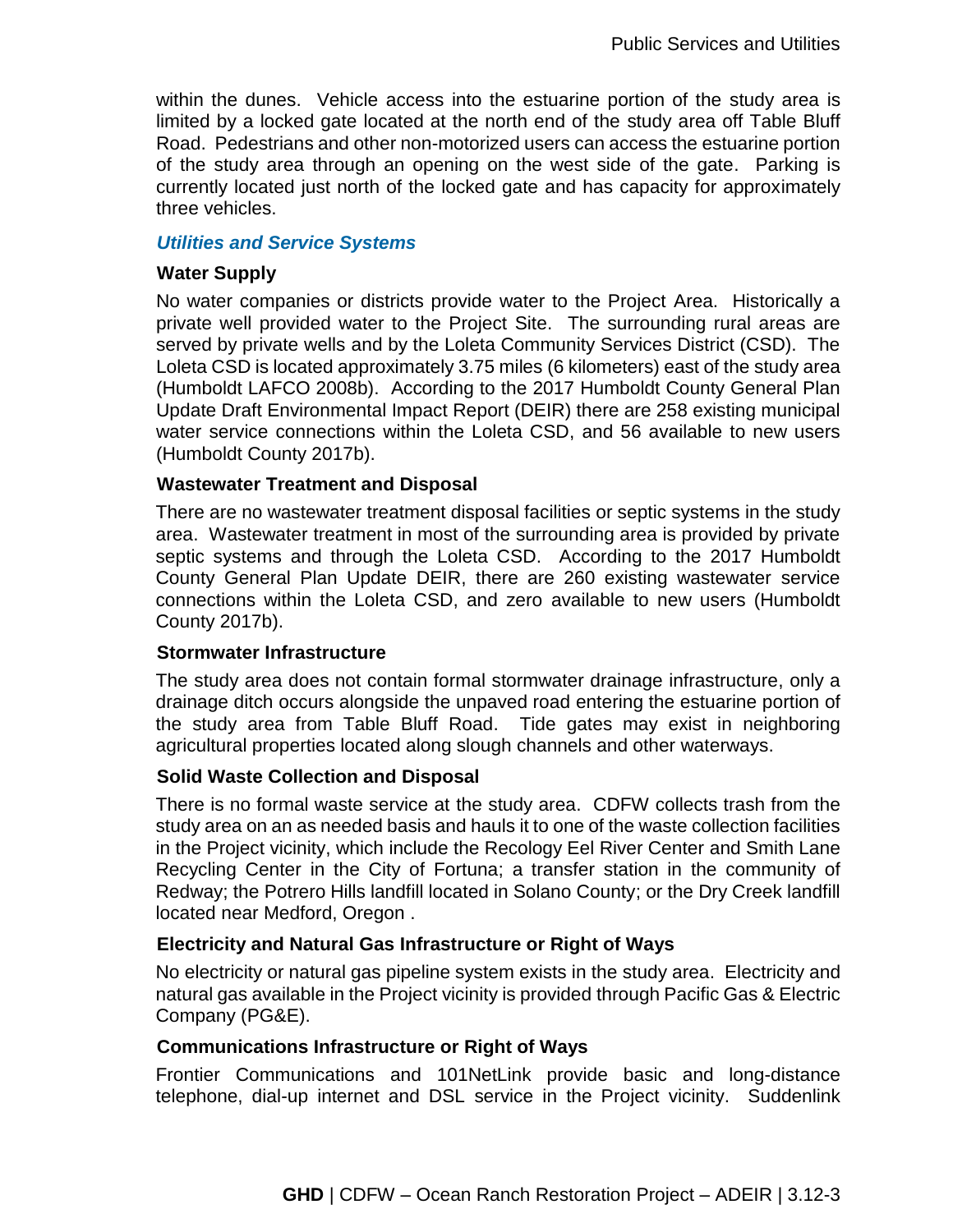within the dunes. Vehicle access into the estuarine portion of the study area is limited by a locked gate located at the north end of the study area off Table Bluff Road. Pedestrians and other non-motorized users can access the estuarine portion of the study area through an opening on the west side of the gate. Parking is currently located just north of the locked gate and has capacity for approximately three vehicles.

#### *Utilities and Service Systems*

#### **Water Supply**

No water companies or districts provide water to the Project Area. Historically a private well provided water to the Project Site. The surrounding rural areas are served by private wells and by the Loleta Community Services District (CSD). The Loleta CSD is located approximately 3.75 miles (6 kilometers) east of the study area (Humboldt LAFCO 2008b). According to the 2017 Humboldt County General Plan Update Draft Environmental Impact Report (DEIR) there are 258 existing municipal water service connections within the Loleta CSD, and 56 available to new users (Humboldt County 2017b).

#### **Wastewater Treatment and Disposal**

There are no wastewater treatment disposal facilities or septic systems in the study area. Wastewater treatment in most of the surrounding area is provided by private septic systems and through the Loleta CSD. According to the 2017 Humboldt County General Plan Update DEIR, there are 260 existing wastewater service connections within the Loleta CSD, and zero available to new users (Humboldt County 2017b).

#### **Stormwater Infrastructure**

The study area does not contain formal stormwater drainage infrastructure, only a drainage ditch occurs alongside the unpaved road entering the estuarine portion of the study area from Table Bluff Road. Tide gates may exist in neighboring agricultural properties located along slough channels and other waterways.

## **Solid Waste Collection and Disposal**

There is no formal waste service at the study area. CDFW collects trash from the study area on an as needed basis and hauls it to one of the waste collection facilities in the Project vicinity, which include the Recology Eel River Center and Smith Lane Recycling Center in the City of Fortuna; a transfer station in the community of Redway; the Potrero Hills landfill located in Solano County; or the Dry Creek landfill located near Medford, Oregon .

## **Electricity and Natural Gas Infrastructure or Right of Ways**

No electricity or natural gas pipeline system exists in the study area. Electricity and natural gas available in the Project vicinity is provided through Pacific Gas & Electric Company (PG&E).

#### **Communications Infrastructure or Right of Ways**

Frontier Communications and 101NetLink provide basic and long-distance telephone, dial-up internet and DSL service in the Project vicinity. Suddenlink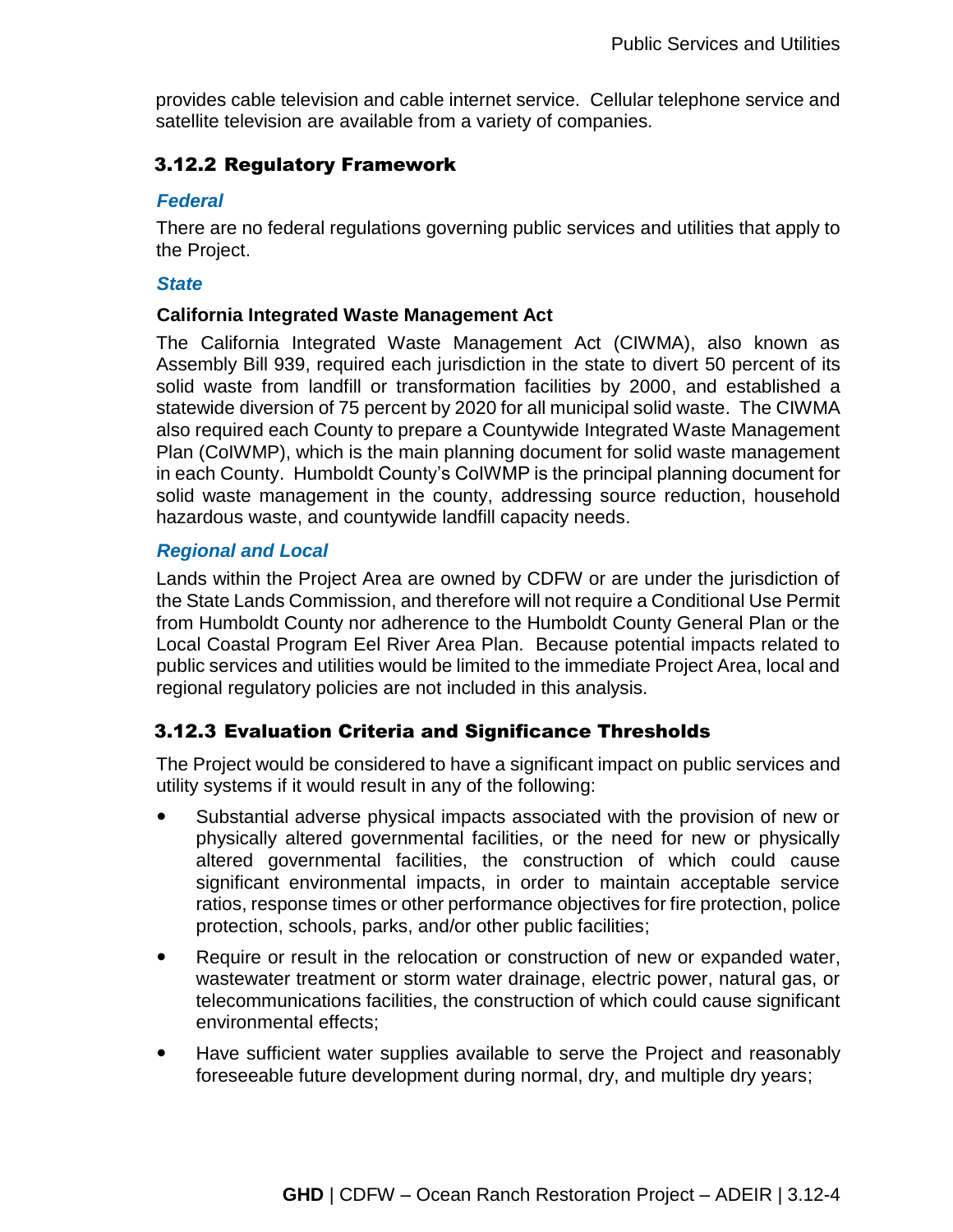provides cable television and cable internet service. Cellular telephone service and satellite television are available from a variety of companies.

# 3.12.2 Regulatory Framework

## *Federal*

There are no federal regulations governing public services and utilities that apply to the Project.

## *State*

## **California Integrated Waste Management Act**

The California Integrated Waste Management Act (CIWMA), also known as Assembly Bill 939, required each jurisdiction in the state to divert 50 percent of its solid waste from landfill or transformation facilities by 2000, and established a statewide diversion of 75 percent by 2020 for all municipal solid waste. The CIWMA also required each County to prepare a Countywide Integrated Waste Management Plan (CoIWMP), which is the main planning document for solid waste management in each County. Humboldt County's CoIWMP is the principal planning document for solid waste management in the county, addressing source reduction, household hazardous waste, and countywide landfill capacity needs.

## *Regional and Local*

Lands within the Project Area are owned by CDFW or are under the jurisdiction of the State Lands Commission, and therefore will not require a Conditional Use Permit from Humboldt County nor adherence to the Humboldt County General Plan or the Local Coastal Program Eel River Area Plan. Because potential impacts related to public services and utilities would be limited to the immediate Project Area, local and regional regulatory policies are not included in this analysis.

## 3.12.3 Evaluation Criteria and Significance Thresholds

The Project would be considered to have a significant impact on public services and utility systems if it would result in any of the following:

- Substantial adverse physical impacts associated with the provision of new or physically altered governmental facilities, or the need for new or physically altered governmental facilities, the construction of which could cause significant environmental impacts, in order to maintain acceptable service ratios, response times or other performance objectives for fire protection, police protection, schools, parks, and/or other public facilities;
- Require or result in the relocation or construction of new or expanded water, wastewater treatment or storm water drainage, electric power, natural gas, or telecommunications facilities, the construction of which could cause significant environmental effects;
- Have sufficient water supplies available to serve the Project and reasonably foreseeable future development during normal, dry, and multiple dry years;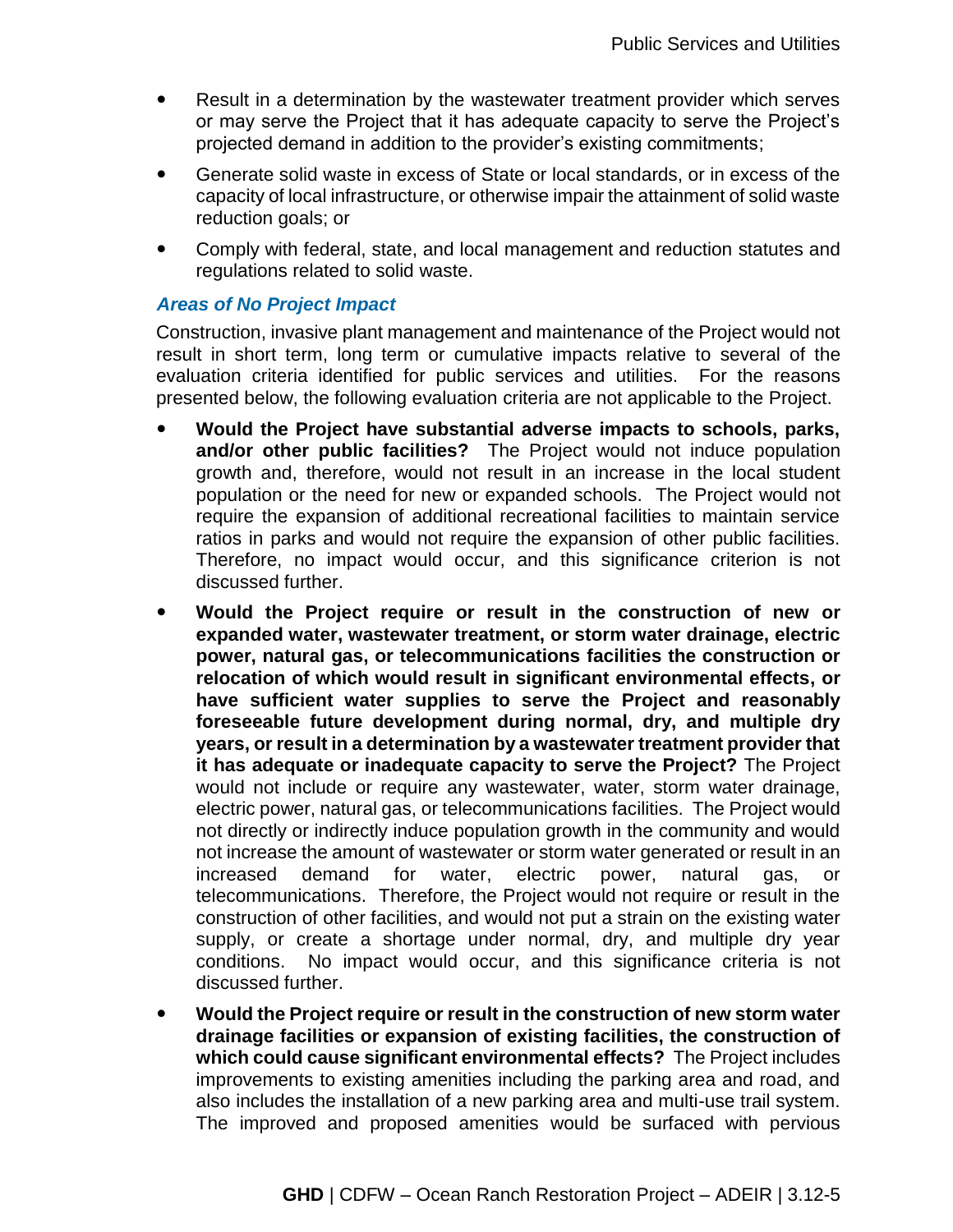- Result in a determination by the wastewater treatment provider which serves or may serve the Project that it has adequate capacity to serve the Project's projected demand in addition to the provider's existing commitments;
- Generate solid waste in excess of State or local standards, or in excess of the capacity of local infrastructure, or otherwise impair the attainment of solid waste reduction goals; or
- Comply with federal, state, and local management and reduction statutes and regulations related to solid waste.

## *Areas of No Project Impact*

Construction, invasive plant management and maintenance of the Project would not result in short term, long term or cumulative impacts relative to several of the evaluation criteria identified for public services and utilities. For the reasons presented below, the following evaluation criteria are not applicable to the Project.

- **Would the Project have substantial adverse impacts to schools, parks, and/or other public facilities?** The Project would not induce population growth and, therefore, would not result in an increase in the local student population or the need for new or expanded schools. The Project would not require the expansion of additional recreational facilities to maintain service ratios in parks and would not require the expansion of other public facilities. Therefore, no impact would occur, and this significance criterion is not discussed further.
- **Would the Project require or result in the construction of new or expanded water, wastewater treatment, or storm water drainage, electric power, natural gas, or telecommunications facilities the construction or relocation of which would result in significant environmental effects, or have sufficient water supplies to serve the Project and reasonably foreseeable future development during normal, dry, and multiple dry years, or result in a determination by a wastewater treatment provider that it has adequate or inadequate capacity to serve the Project?** The Project would not include or require any wastewater, water, storm water drainage, electric power, natural gas, or telecommunications facilities. The Project would not directly or indirectly induce population growth in the community and would not increase the amount of wastewater or storm water generated or result in an increased demand for water, electric power, natural gas, or telecommunications. Therefore, the Project would not require or result in the construction of other facilities, and would not put a strain on the existing water supply, or create a shortage under normal, dry, and multiple dry year conditions. No impact would occur, and this significance criteria is not discussed further.
- **Would the Project require or result in the construction of new storm water drainage facilities or expansion of existing facilities, the construction of which could cause significant environmental effects?** The Project includes improvements to existing amenities including the parking area and road, and also includes the installation of a new parking area and multi-use trail system. The improved and proposed amenities would be surfaced with pervious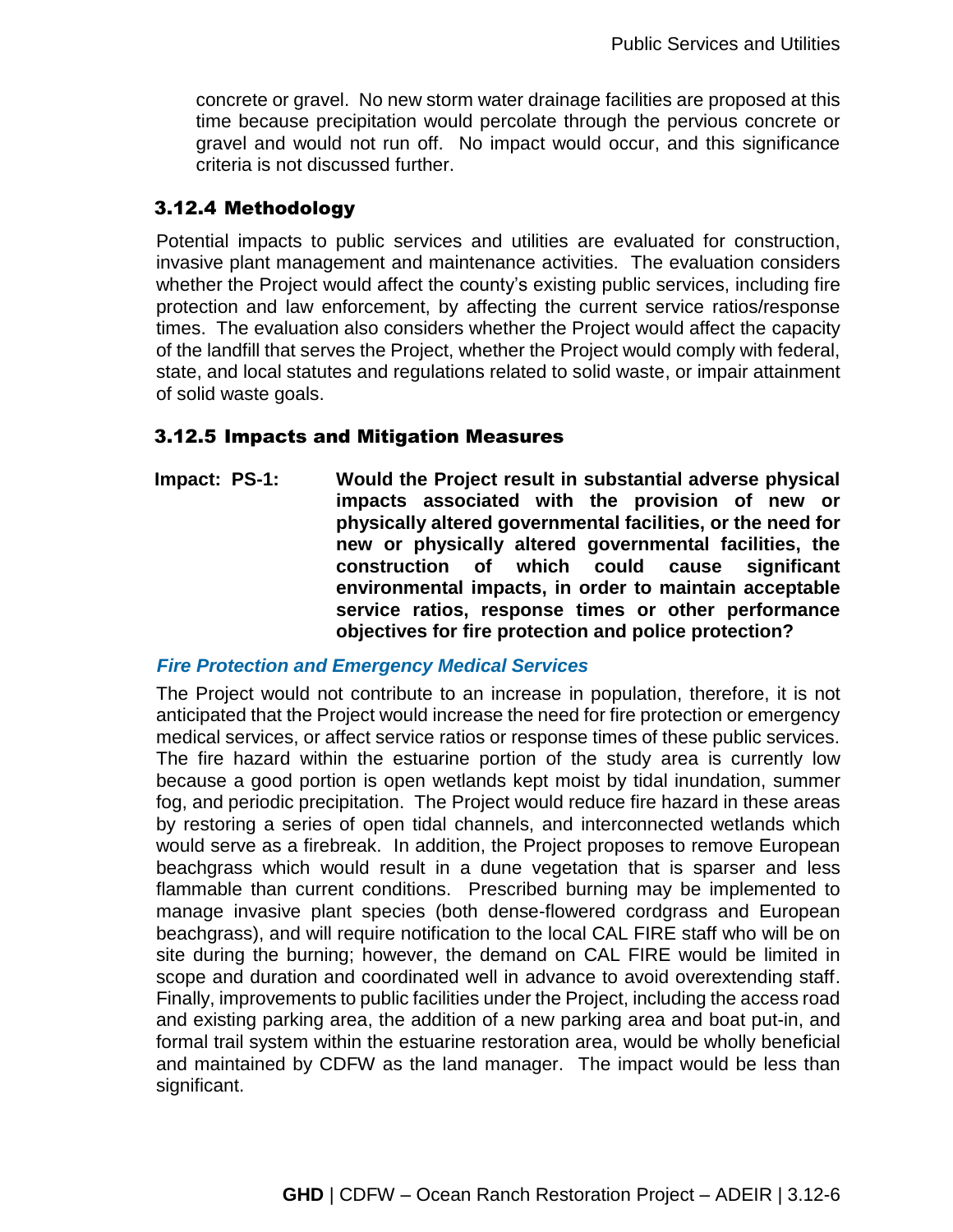concrete or gravel. No new storm water drainage facilities are proposed at this time because precipitation would percolate through the pervious concrete or gravel and would not run off. No impact would occur, and this significance criteria is not discussed further.

## 3.12.4 Methodology

Potential impacts to public services and utilities are evaluated for construction, invasive plant management and maintenance activities. The evaluation considers whether the Project would affect the county's existing public services, including fire protection and law enforcement, by affecting the current service ratios/response times. The evaluation also considers whether the Project would affect the capacity of the landfill that serves the Project, whether the Project would comply with federal, state, and local statutes and regulations related to solid waste, or impair attainment of solid waste goals.

## 3.12.5 Impacts and Mitigation Measures

**Impact: PS-1: Would the Project result in substantial adverse physical impacts associated with the provision of new or physically altered governmental facilities, or the need for new or physically altered governmental facilities, the construction of which could cause significant environmental impacts, in order to maintain acceptable service ratios, response times or other performance objectives for fire protection and police protection?**

## *Fire Protection and Emergency Medical Services*

The Project would not contribute to an increase in population, therefore, it is not anticipated that the Project would increase the need for fire protection or emergency medical services, or affect service ratios or response times of these public services. The fire hazard within the estuarine portion of the study area is currently low because a good portion is open wetlands kept moist by tidal inundation, summer fog, and periodic precipitation. The Project would reduce fire hazard in these areas by restoring a series of open tidal channels, and interconnected wetlands which would serve as a firebreak. In addition, the Project proposes to remove European beachgrass which would result in a dune vegetation that is sparser and less flammable than current conditions. Prescribed burning may be implemented to manage invasive plant species (both dense-flowered cordgrass and European beachgrass), and will require notification to the local CAL FIRE staff who will be on site during the burning; however, the demand on CAL FIRE would be limited in scope and duration and coordinated well in advance to avoid overextending staff. Finally, improvements to public facilities under the Project, including the access road and existing parking area, the addition of a new parking area and boat put-in, and formal trail system within the estuarine restoration area, would be wholly beneficial and maintained by CDFW as the land manager. The impact would be less than significant.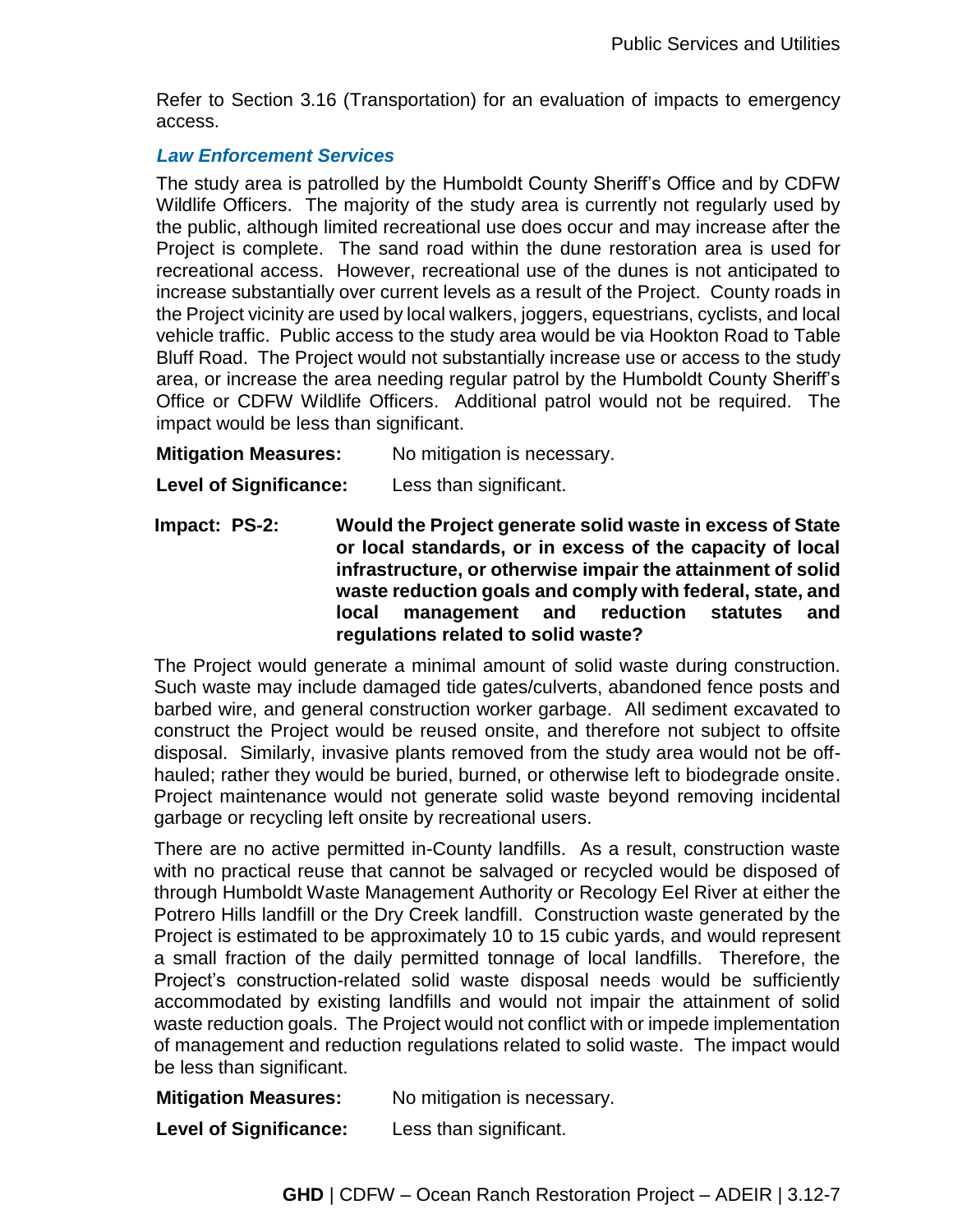Refer to Section 3.16 (Transportation) for an evaluation of impacts to emergency access.

#### *Law Enforcement Services*

The study area is patrolled by the Humboldt County Sheriff's Office and by CDFW Wildlife Officers. The majority of the study area is currently not regularly used by the public, although limited recreational use does occur and may increase after the Project is complete. The sand road within the dune restoration area is used for recreational access. However, recreational use of the dunes is not anticipated to increase substantially over current levels as a result of the Project. County roads in the Project vicinity are used by local walkers, joggers, equestrians, cyclists, and local vehicle traffic. Public access to the study area would be via Hookton Road to Table Bluff Road. The Project would not substantially increase use or access to the study area, or increase the area needing regular patrol by the Humboldt County Sheriff's Office or CDFW Wildlife Officers. Additional patrol would not be required. The impact would be less than significant.

**Mitigation Measures:** No mitigation is necessary.

**Level of Significance:** Less than significant.

**Impact: PS-2: Would the Project generate solid waste in excess of State or local standards, or in excess of the capacity of local infrastructure, or otherwise impair the attainment of solid waste reduction goals and comply with federal, state, and local management and reduction statutes and regulations related to solid waste?** 

The Project would generate a minimal amount of solid waste during construction. Such waste may include damaged tide gates/culverts, abandoned fence posts and barbed wire, and general construction worker garbage. All sediment excavated to construct the Project would be reused onsite, and therefore not subject to offsite disposal. Similarly, invasive plants removed from the study area would not be offhauled; rather they would be buried, burned, or otherwise left to biodegrade onsite. Project maintenance would not generate solid waste beyond removing incidental garbage or recycling left onsite by recreational users.

There are no active permitted in-County landfills. As a result, construction waste with no practical reuse that cannot be salvaged or recycled would be disposed of through Humboldt Waste Management Authority or Recology Eel River at either the Potrero Hills landfill or the Dry Creek landfill. Construction waste generated by the Project is estimated to be approximately 10 to 15 cubic yards, and would represent a small fraction of the daily permitted tonnage of local landfills. Therefore, the Project's construction-related solid waste disposal needs would be sufficiently accommodated by existing landfills and would not impair the attainment of solid waste reduction goals. The Project would not conflict with or impede implementation of management and reduction regulations related to solid waste. The impact would be less than significant.

**Mitigation Measures:** No mitigation is necessary.

**Level of Significance:** Less than significant.